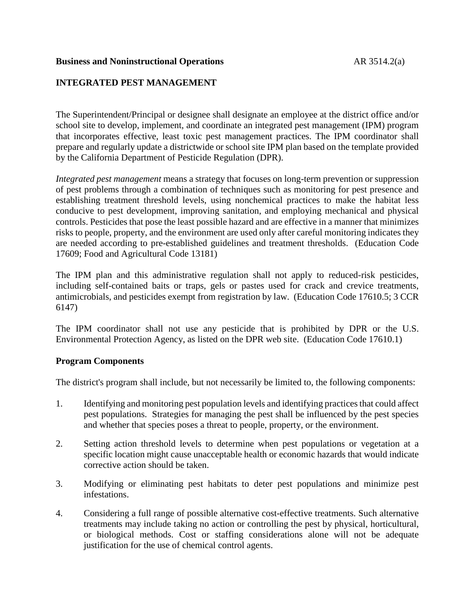### **Business and Noninstructional Operations** AR 3514.2(a)

# **INTEGRATED PEST MANAGEMENT**

The Superintendent/Principal or designee shall designate an employee at the district office and/or school site to develop, implement, and coordinate an integrated pest management (IPM) program that incorporates effective, least toxic pest management practices. The IPM coordinator shall prepare and regularly update a districtwide or school site IPM plan based on the template provided by the California Department of Pesticide Regulation (DPR).

*Integrated pest management* means a strategy that focuses on long-term prevention or suppression of pest problems through a combination of techniques such as monitoring for pest presence and establishing treatment threshold levels, using nonchemical practices to make the habitat less conducive to pest development, improving sanitation, and employing mechanical and physical controls. Pesticides that pose the least possible hazard and are effective in a manner that minimizes risks to people, property, and the environment are used only after careful monitoring indicates they are needed according to pre-established guidelines and treatment thresholds. (Education Code 17609; Food and Agricultural Code 13181)

The IPM plan and this administrative regulation shall not apply to reduced-risk pesticides, including self-contained baits or traps, gels or pastes used for crack and crevice treatments, antimicrobials, and pesticides exempt from registration by law. (Education Code 17610.5; 3 CCR 6147)

The IPM coordinator shall not use any pesticide that is prohibited by DPR or the U.S. Environmental Protection Agency, as listed on the DPR web site. (Education Code 17610.1)

## **Program Components**

The district's program shall include, but not necessarily be limited to, the following components:

- 1. Identifying and monitoring pest population levels and identifying practices that could affect pest populations. Strategies for managing the pest shall be influenced by the pest species and whether that species poses a threat to people, property, or the environment.
- 2. Setting action threshold levels to determine when pest populations or vegetation at a specific location might cause unacceptable health or economic hazards that would indicate corrective action should be taken.
- 3. Modifying or eliminating pest habitats to deter pest populations and minimize pest infestations.
- 4. Considering a full range of possible alternative cost-effective treatments. Such alternative treatments may include taking no action or controlling the pest by physical, horticultural, or biological methods. Cost or staffing considerations alone will not be adequate justification for the use of chemical control agents.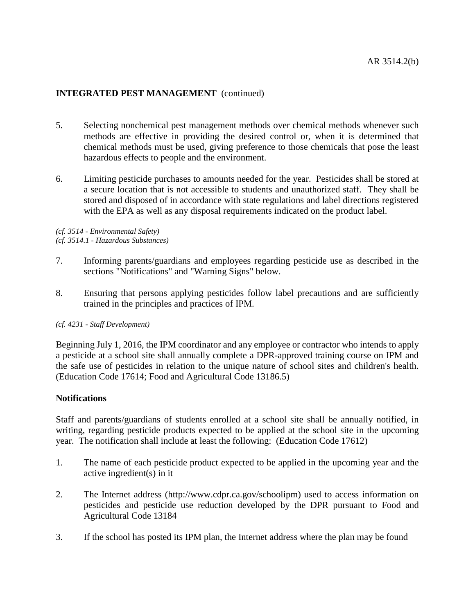- 5. Selecting nonchemical pest management methods over chemical methods whenever such methods are effective in providing the desired control or, when it is determined that chemical methods must be used, giving preference to those chemicals that pose the least hazardous effects to people and the environment.
- 6. Limiting pesticide purchases to amounts needed for the year. Pesticides shall be stored at a secure location that is not accessible to students and unauthorized staff. They shall be stored and disposed of in accordance with state regulations and label directions registered with the EPA as well as any disposal requirements indicated on the product label.

*(cf. 3514 - Environmental Safety) (cf. 3514.1 - Hazardous Substances)*

- 7. Informing parents/guardians and employees regarding pesticide use as described in the sections "Notifications" and "Warning Signs" below.
- 8. Ensuring that persons applying pesticides follow label precautions and are sufficiently trained in the principles and practices of IPM.

## *(cf. 4231 - Staff Development)*

Beginning July 1, 2016, the IPM coordinator and any employee or contractor who intends to apply a pesticide at a school site shall annually complete a DPR-approved training course on IPM and the safe use of pesticides in relation to the unique nature of school sites and children's health. (Education Code 17614; Food and Agricultural Code 13186.5)

## **Notifications**

Staff and parents/guardians of students enrolled at a school site shall be annually notified, in writing, regarding pesticide products expected to be applied at the school site in the upcoming year. The notification shall include at least the following: (Education Code 17612)

- 1. The name of each pesticide product expected to be applied in the upcoming year and the active ingredient(s) in it
- 2. The Internet address (http://www.cdpr.ca.gov/schoolipm) used to access information on pesticides and pesticide use reduction developed by the DPR pursuant to Food and Agricultural Code 13184
- 3. If the school has posted its IPM plan, the Internet address where the plan may be found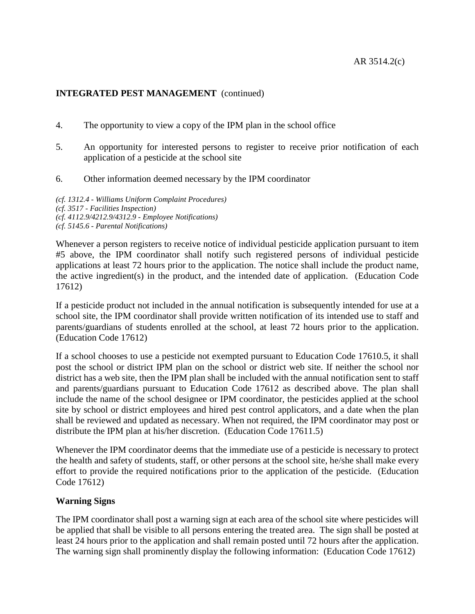- 4. The opportunity to view a copy of the IPM plan in the school office
- 5. An opportunity for interested persons to register to receive prior notification of each application of a pesticide at the school site
- 6. Other information deemed necessary by the IPM coordinator

*(cf. 1312.4 - Williams Uniform Complaint Procedures) (cf. 3517 - Facilities Inspection) (cf. 4112.9/4212.9/4312.9 - Employee Notifications) (cf. 5145.6 - Parental Notifications)*

Whenever a person registers to receive notice of individual pesticide application pursuant to item #5 above, the IPM coordinator shall notify such registered persons of individual pesticide applications at least 72 hours prior to the application. The notice shall include the product name, the active ingredient(s) in the product, and the intended date of application. (Education Code 17612)

If a pesticide product not included in the annual notification is subsequently intended for use at a school site, the IPM coordinator shall provide written notification of its intended use to staff and parents/guardians of students enrolled at the school, at least 72 hours prior to the application. (Education Code 17612)

If a school chooses to use a pesticide not exempted pursuant to Education Code 17610.5, it shall post the school or district IPM plan on the school or district web site. If neither the school nor district has a web site, then the IPM plan shall be included with the annual notification sent to staff and parents/guardians pursuant to Education Code 17612 as described above. The plan shall include the name of the school designee or IPM coordinator, the pesticides applied at the school site by school or district employees and hired pest control applicators, and a date when the plan shall be reviewed and updated as necessary. When not required, the IPM coordinator may post or distribute the IPM plan at his/her discretion. (Education Code 17611.5)

Whenever the IPM coordinator deems that the immediate use of a pesticide is necessary to protect the health and safety of students, staff, or other persons at the school site, he/she shall make every effort to provide the required notifications prior to the application of the pesticide. (Education Code 17612)

## **Warning Signs**

The IPM coordinator shall post a warning sign at each area of the school site where pesticides will be applied that shall be visible to all persons entering the treated area. The sign shall be posted at least 24 hours prior to the application and shall remain posted until 72 hours after the application. The warning sign shall prominently display the following information: (Education Code 17612)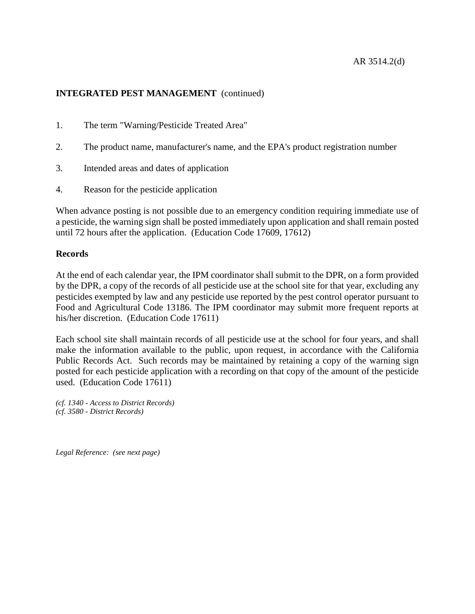- 1. The term "Warning/Pesticide Treated Area"
- 2. The product name, manufacturer's name, and the EPA's product registration number
- 3. Intended areas and dates of application
- 4. Reason for the pesticide application

When advance posting is not possible due to an emergency condition requiring immediate use of a pesticide, the warning sign shall be posted immediately upon application and shall remain posted until 72 hours after the application. (Education Code 17609, 17612)

## **Records**

At the end of each calendar year, the IPM coordinator shall submit to the DPR, on a form provided by the DPR, a copy of the records of all pesticide use at the school site for that year, excluding any pesticides exempted by law and any pesticide use reported by the pest control operator pursuant to Food and Agricultural Code 13186. The IPM coordinator may submit more frequent reports at his/her discretion. (Education Code 17611)

Each school site shall maintain records of all pesticide use at the school for four years, and shall make the information available to the public, upon request, in accordance with the California Public Records Act. Such records may be maintained by retaining a copy of the warning sign posted for each pesticide application with a recording on that copy of the amount of the pesticide used. (Education Code 17611)

*(cf. 1340 - Access to District Records) (cf. 3580 - District Records)*

*Legal Reference: (see next page)*